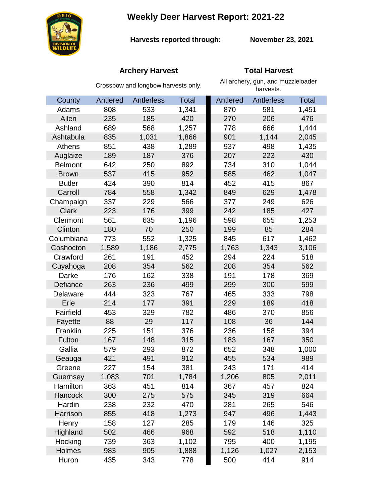**Weekly Deer Harvest Report: 2021-22**



**Harvests reported through: November 23, 2021**

# **Archery Harvest Total Harvest**

|                | Crossbow and longbow harvests only. |                   |              | All archery, gun, and muzzleloader<br>harvests. |            |              |
|----------------|-------------------------------------|-------------------|--------------|-------------------------------------------------|------------|--------------|
| County         | Antlered                            | <b>Antlerless</b> | <b>Total</b> | Antlered                                        | Antlerless | <b>Total</b> |
| Adams          | 808                                 | 533               | 1,341        | 870                                             | 581        | 1,451        |
| Allen          | 235                                 | 185               | 420          | 270                                             | 206        | 476          |
| Ashland        | 689                                 | 568               | 1,257        | 778                                             | 666        | 1,444        |
| Ashtabula      | 835                                 | 1,031             | 1,866        | 901                                             | 1,144      | 2,045        |
| Athens         | 851                                 | 438               | 1,289        | 937                                             | 498        | 1,435        |
| Auglaize       | 189                                 | 187               | 376          | 207                                             | 223        | 430          |
| <b>Belmont</b> | 642                                 | 250               | 892          | 734                                             | 310        | 1,044        |
| <b>Brown</b>   | 537                                 | 415               | 952          | 585                                             | 462        | 1,047        |
| <b>Butler</b>  | 424                                 | 390               | 814          | 452                                             | 415        | 867          |
| Carroll        | 784                                 | 558               | 1,342        | 849                                             | 629        | 1,478        |
| Champaign      | 337                                 | 229               | 566          | 377                                             | 249        | 626          |
| <b>Clark</b>   | 223                                 | 176               | 399          | 242                                             | 185        | 427          |
| Clermont       | 561                                 | 635               | 1,196        | 598                                             | 655        | 1,253        |
| Clinton        | 180                                 | 70                | 250          | 199                                             | 85         | 284          |
| Columbiana     | 773                                 | 552               | 1,325        | 845                                             | 617        | 1,462        |
| Coshocton      | 1,589                               | 1,186             | 2,775        | 1,763                                           | 1,343      | 3,106        |
| Crawford       | 261                                 | 191               | 452          | 294                                             | 224        | 518          |
| Cuyahoga       | 208                                 | 354               | 562          | 208                                             | 354        | 562          |
| Darke          | 176                                 | 162               | 338          | 191                                             | 178        | 369          |
| Defiance       | 263                                 | 236               | 499          | 299                                             | 300        | 599          |
| Delaware       | 444                                 | 323               | 767          | 465                                             | 333        | 798          |
| Erie           | 214                                 | 177               | 391          | 229                                             | 189        | 418          |
| Fairfield      | 453                                 | 329               | 782          | 486                                             | 370        | 856          |
| Fayette        | 88                                  | 29                | 117          | 108                                             | 36         | 144          |
| Franklin       | 225                                 | 151               | 376          | 236                                             | 158        | 394          |
| Fulton         | 167                                 | 148               | 315          | 183                                             | 167        | 350          |
| Gallia         | 579                                 | 293               | 872          | 652                                             | 348        | 1,000        |
| Geauga         | 421                                 | 491               | 912          | 455                                             | 534        | 989          |
| Greene         | 227                                 | 154               | 381          | 243                                             | 171        | 414          |
| Guernsey       | 1,083                               | 701               | 1,784        | 1,206                                           | 805        | 2,011        |
| Hamilton       | 363                                 | 451               | 814          | 367                                             | 457        | 824          |
| <b>Hancock</b> | 300                                 | 275               | 575          | 345                                             | 319        | 664          |
| Hardin         | 238                                 | 232               | 470          | 281                                             | 265        | 546          |
| Harrison       | 855                                 | 418               | 1,273        | 947                                             | 496        | 1,443        |
| Henry          | 158                                 | 127               | 285          | 179                                             | 146        | 325          |
| Highland       | 502                                 | 466               | 968          | 592                                             | 518        | 1,110        |
| Hocking        | 739                                 | 363               | 1,102        | 795                                             | 400        | 1,195        |
| Holmes         | 983                                 | 905               | 1,888        | 1,126                                           | 1,027      | 2,153        |
| Huron          | 435                                 | 343               | 778          | 500                                             | 414        | 914          |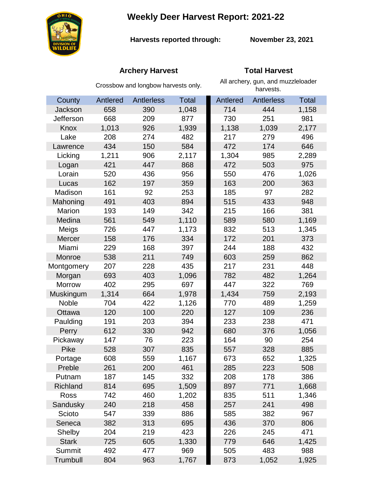**Weekly Deer Harvest Report: 2021-22**



**Harvests reported through:** 

**November 23, 2021**

# **Archery Harvest Total Harvest**

|              | Crossbow and longbow harvests only. |                   |              | All archery, gun, and muzzleloader<br>harvests. |            |              |  |
|--------------|-------------------------------------|-------------------|--------------|-------------------------------------------------|------------|--------------|--|
| County       | Antlered                            | <b>Antlerless</b> | <b>Total</b> | Antlered                                        | Antlerless | <b>Total</b> |  |
| Jackson      | 658                                 | 390               | 1,048        | 714                                             | 444        | 1,158        |  |
| Jefferson    | 668                                 | 209               | 877          | 730                                             | 251        | 981          |  |
| Knox         | 1,013                               | 926               | 1,939        | 1,138                                           | 1,039      | 2,177        |  |
| Lake         | 208                                 | 274               | 482          | 217                                             | 279        | 496          |  |
| Lawrence     | 434                                 | 150               | 584          | 472                                             | 174        | 646          |  |
| Licking      | 1,211                               | 906               | 2,117        | 1,304                                           | 985        | 2,289        |  |
| Logan        | 421                                 | 447               | 868          | 472                                             | 503        | 975          |  |
| Lorain       | 520                                 | 436               | 956          | 550                                             | 476        | 1,026        |  |
| Lucas        | 162                                 | 197               | 359          | 163                                             | 200        | 363          |  |
| Madison      | 161                                 | 92                | 253          | 185                                             | 97         | 282          |  |
| Mahoning     | 491                                 | 403               | 894          | 515                                             | 433        | 948          |  |
| Marion       | 193                                 | 149               | 342          | 215                                             | 166        | 381          |  |
| Medina       | 561                                 | 549               | 1,110        | 589                                             | 580        | 1,169        |  |
| Meigs        | 726                                 | 447               | 1,173        | 832                                             | 513        | 1,345        |  |
| Mercer       | 158                                 | 176               | 334          | 172                                             | 201        | 373          |  |
| Miami        | 229                                 | 168               | 397          | 244                                             | 188        | 432          |  |
| Monroe       | 538                                 | 211               | 749          | 603                                             | 259        | 862          |  |
| Montgomery   | 207                                 | 228               | 435          | 217                                             | 231        | 448          |  |
| Morgan       | 693                                 | 403               | 1,096        | 782                                             | 482        | 1,264        |  |
| Morrow       | 402                                 | 295               | 697          | 447                                             | 322        | 769          |  |
| Muskingum    | 1,314                               | 664               | 1,978        | 1,434                                           | 759        | 2,193        |  |
| Noble        | 704                                 | 422               | 1,126        | 770                                             | 489        | 1,259        |  |
| Ottawa       | 120                                 | 100               | 220          | 127                                             | 109        | 236          |  |
| Paulding     | 191                                 | 203               | 394          | 233                                             | 238        | 471          |  |
| Perry        | 612                                 | 330               | 942          | 680                                             | 376        | 1,056        |  |
| Pickaway     | 147                                 | 76                | 223          | 164                                             | 90         | 254          |  |
| Pike         | 528                                 | 307               | 835          | 557                                             | 328        | 885          |  |
| Portage      | 608                                 | 559               | 1,167        | 673                                             | 652        | 1,325        |  |
| Preble       | 261                                 | 200               | 461          | 285                                             | 223        | 508          |  |
| Putnam       | 187                                 | 145               | 332          | 208                                             | 178        | 386          |  |
| Richland     | 814                                 | 695               | 1,509        | 897                                             | 771        | 1,668        |  |
| Ross         | 742                                 | 460               | 1,202        | 835                                             | 511        | 1,346        |  |
| Sandusky     | 240                                 | 218               | 458          | 257                                             | 241        | 498          |  |
| Scioto       | 547                                 | 339               | 886          | 585                                             | 382        | 967          |  |
| Seneca       | 382                                 | 313               | 695          | 436                                             | 370        | 806          |  |
| Shelby       | 204                                 | 219               | 423          | 226                                             | 245        | 471          |  |
| <b>Stark</b> | 725                                 | 605               | 1,330        | 779                                             | 646        | 1,425        |  |
| Summit       | 492                                 | 477               | 969          | 505                                             | 483        | 988          |  |
| Trumbull     | 804                                 | 963               | 1,767        | 873                                             | 1,052      | 1,925        |  |